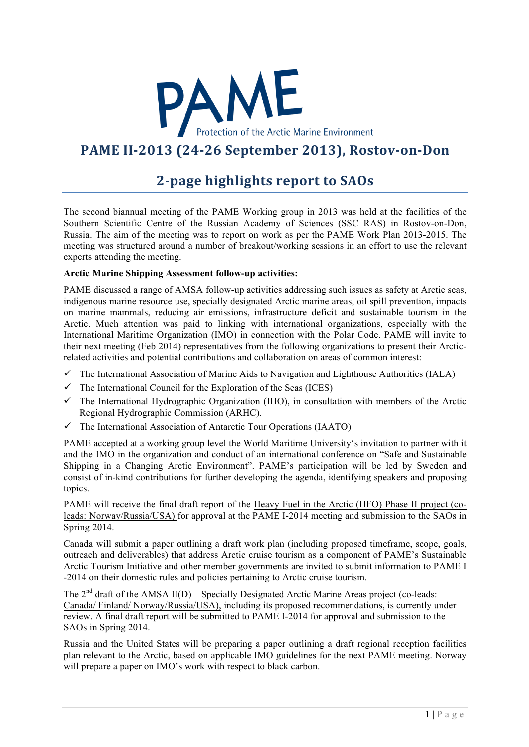

## **PAME II-2013 (24-26 September 2013), Rostov-on-Don**

## **2-page highlights report to SAOs**

The second biannual meeting of the PAME Working group in 2013 was held at the facilities of the Southern Scientific Centre of the Russian Academy of Sciences (SSC RAS) in Rostov-on-Don, Russia. The aim of the meeting was to report on work as per the PAME Work Plan 2013-2015. The meeting was structured around a number of breakout/working sessions in an effort to use the relevant experts attending the meeting.

## **Arctic Marine Shipping Assessment follow-up activities:**

PAME discussed a range of AMSA follow-up activities addressing such issues as safety at Arctic seas, indigenous marine resource use, specially designated Arctic marine areas, oil spill prevention, impacts on marine mammals, reducing air emissions, infrastructure deficit and sustainable tourism in the Arctic. Much attention was paid to linking with international organizations, especially with the International Maritime Organization (IMO) in connection with the Polar Code. PAME will invite to their next meeting (Feb 2014) representatives from the following organizations to present their Arcticrelated activities and potential contributions and collaboration on areas of common interest:

- $\checkmark$  The International Association of Marine Aids to Navigation and Lighthouse Authorities (IALA)
- $\checkmark$  The International Council for the Exploration of the Seas (ICES)
- $\checkmark$  The International Hydrographic Organization (IHO), in consultation with members of the Arctic Regional Hydrographic Commission (ARHC).
- $\checkmark$  The International Association of Antarctic Tour Operations (IAATO)

PAME accepted at a working group level the World Maritime University's invitation to partner with it and the IMO in the organization and conduct of an international conference on "Safe and Sustainable Shipping in a Changing Arctic Environment". PAME's participation will be led by Sweden and consist of in-kind contributions for further developing the agenda, identifying speakers and proposing topics.

PAME will receive the final draft report of the Heavy Fuel in the Arctic (HFO) Phase II project (coleads: Norway/Russia/USA) for approval at the PAME I-2014 meeting and submission to the SAOs in Spring 2014.

Canada will submit a paper outlining a draft work plan (including proposed timeframe, scope, goals, outreach and deliverables) that address Arctic cruise tourism as a component of PAME's Sustainable Arctic Tourism Initiative and other member governments are invited to submit information to PAME I -2014 on their domestic rules and policies pertaining to Arctic cruise tourism.

The  $2<sup>nd</sup>$  draft of the AMSA II(D) – Specially Designated Arctic Marine Areas project (co-leads: Canada/ Finland/ Norway/Russia/USA), including its proposed recommendations, is currently under review. A final draft report will be submitted to PAME I-2014 for approval and submission to the SAOs in Spring 2014.

Russia and the United States will be preparing a paper outlining a draft regional reception facilities plan relevant to the Arctic, based on applicable IMO guidelines for the next PAME meeting. Norway will prepare a paper on IMO's work with respect to black carbon.